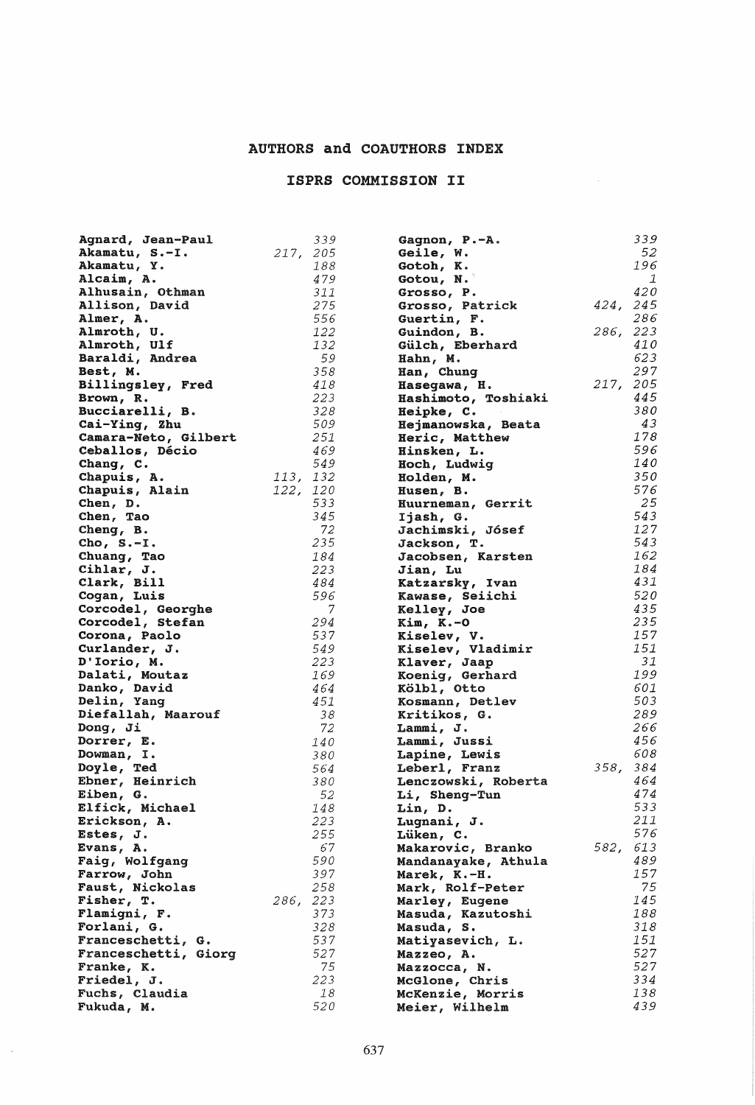## AUTHORS and COAUTHORS INDEX

## ISPRS COMMISSION II

 $\mathcal{L}^{\text{max}}_{\text{max}}$ 

| Agnard, Jean-Paul             |          | 339 | Gagnon, P.-A.       |          | 339          |
|-------------------------------|----------|-----|---------------------|----------|--------------|
| Akamatu, S.-I.                | 217, 205 |     | Geile, W.           |          | 52           |
| Akamatu, Y.                   |          | 188 | Gotoh, K.           |          | 196          |
| Alcaim, A.                    |          | 479 | Gotou, N.           |          | $\mathbf{1}$ |
| Alhusain, Othman              |          | 311 | Grosso, P.          |          | 420          |
|                               |          |     |                     |          |              |
| Allison, David                |          | 275 | Grosso, Patrick     | 424, 245 | 286          |
| Almer, A.                     |          | 556 | Guertin, F.         |          |              |
| Almroth, U.                   |          | 122 | Guindon, B.         | 286, 223 |              |
| Almroth, Ulf                  |          | 132 | Gülch, Eberhard     |          | 410          |
| Baraldi, Andrea               |          | 59  | Hahn, M.            |          | 623          |
| Best, M.                      |          | 358 | Han, Chung          |          | 297          |
| Billingsley, Fred             |          | 418 | Hasegawa, H.        | 217, 205 |              |
| Brown, R.                     |          | 223 | Hashimoto, Toshiaki |          | 445          |
| Bucciarelli, B.               |          | 328 | Heipke, C.          |          | 380          |
| Cai-Ying, Zhu                 |          | 509 | Hejmanowska, Beata  |          | 43           |
| Camara-Neto, Gilbert          |          | 251 | Heric, Matthew      |          | 178          |
| Ceballos, Décio               |          | 469 |                     |          | 596          |
|                               |          | 549 | Hinsken, L.         |          | 140          |
| Chang, C.                     |          |     | Hoch, Ludwig        |          |              |
| Chapuis, A.                   | 113, 132 |     | Holden, M.          |          | 350          |
| Chapuis, Alain                | 122, 120 |     | Husen, B.           |          | 576          |
| Chen, D.                      |          | 533 | Huurneman, Gerrit   |          | 25           |
| Chen, Tao                     |          | 345 | Ijash, G.           |          | 543          |
| $Cheng$ , $B$ .               |          | 72  | Jachimski, Jósef    |          | 127          |
| Cho, $S.-I.$                  |          | 235 | Jackson, T.         |          | 543          |
| Chuang, Tao                   |          | 184 | Jacobsen, Karsten   |          | 162          |
| Cihlar, J.                    |          | 223 | Jian, Lu            |          | 184          |
| Clark, Bill                   |          | 484 | Katzarsky, Ivan     |          | 431          |
| Cogan, Luis                   |          | 596 | Kawase, Seiichi     |          | 520          |
| Corcodel, Georghe             |          | 7   | Kelley, Joe         |          | 435          |
| Corcodel, Stefan              |          | 294 | $Kim, K.-O$         |          | 235          |
| Corona, Paolo                 |          | 537 | Kiselev, V.         |          | 157          |
| Curlander, J.                 |          | 549 | Kiselev, Vladimir   |          | 151          |
|                               |          | 223 |                     |          | 31           |
| D'Iorio, M.                   |          | 169 | Klaver, Jaap        |          | 199          |
| Dalati, Moutaz                |          |     | Koenig, Gerhard     |          |              |
| Danko, David                  |          | 464 | Kölbl, Otto         |          | 601          |
| Delin, Yang                   |          | 451 | Kosmann, Detlev     |          | 503          |
| Diefallah, Maarouf            |          | 38  | Kritikos, G.        |          | 289          |
| Dong, Ji                      |          | 72  | Lammi, J.           |          | 266          |
| Dorrer, E.                    |          | 140 | Lammi, Jussi        |          | 456          |
| Dowman, I.                    |          | 380 | Lapine, Lewis       |          | 608          |
| Doyle, Ted                    |          | 564 | Leberl, Franz       | 358, 384 |              |
| Ebner, Heinrich               |          | 380 | Lenczowski, Roberta |          | 464          |
| Eiben, G.                     |          | 52  | Li, Sheng-Tun       |          | 474          |
| Elfick, Michael               |          | 148 | Lin, D.             |          | 533          |
| Erickson, A.                  |          | 223 | Lugnani, J.         |          | 211          |
| Estes, J.                     |          | 255 | Lüken, C.           |          | 576          |
| Evans, A.                     |          | 67  | Makarovic, Branko   | 582,     | 613          |
| Faig, Wolfgang                |          | 590 | Mandanayake, Athula |          | 489          |
| Farrow, John                  |          | 397 | Marek, K.-H.        |          | 157          |
|                               |          | 258 |                     |          | 75           |
| Faust, Nickolas<br>Fisher, T. | 286, 223 |     | Mark, Rolf-Peter    |          | 145          |
|                               |          |     | Marley, Eugene      |          |              |
| Flamigni, F.                  |          | 373 | Masuda, Kazutoshi   |          | 188          |
| Forlani, G.                   |          | 328 | Masuda, S.          |          | 318          |
| Franceschetti, G.             |          | 537 | Matiyasevich, L.    |          | 151          |
| Franceschetti, Giorg          |          | 527 | Mazzeo, A.          |          | 527          |
| Franke, K.                    |          | 75  | Mazzocca, N.        |          | 527          |
| Friedel, J.                   |          | 223 | McGlone, Chris      |          | 334          |
| Fuchs, Claudia                |          | 18  | McKenzie, Morris    |          | 138          |
| Fukuda, M.                    |          | 520 | Meier, Wilhelm      |          | 439          |

 $\sim$